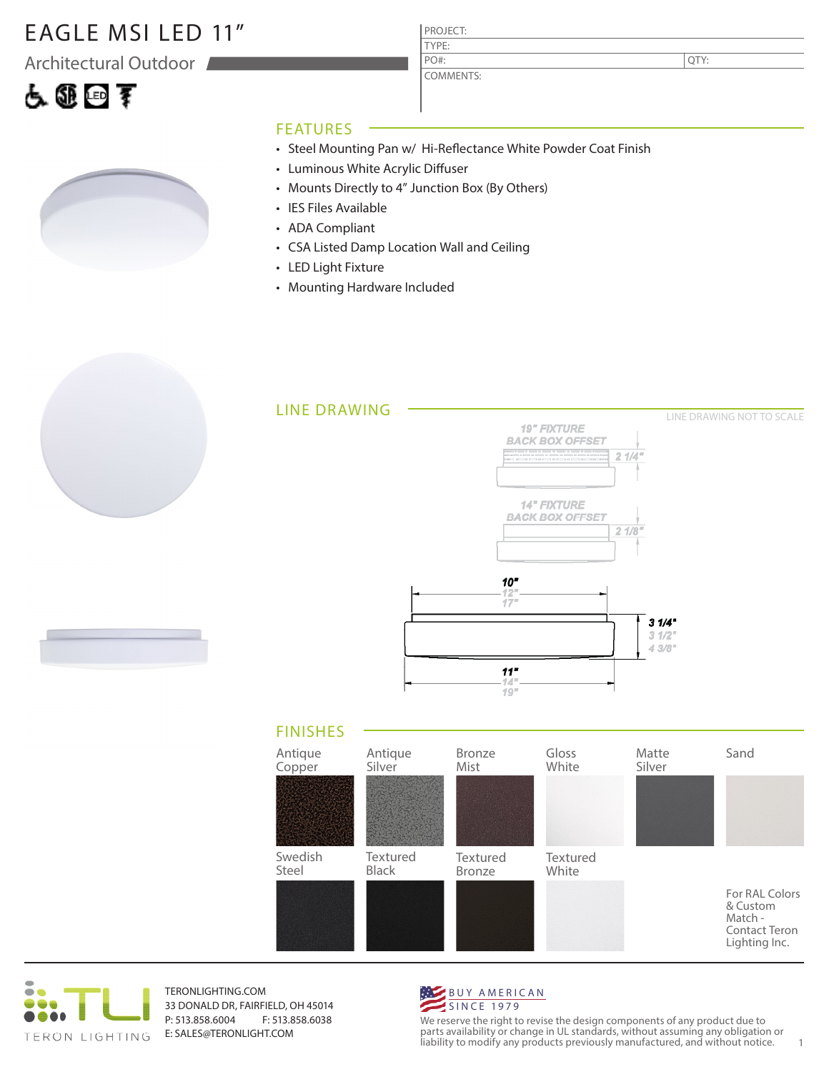### EAGLE MSI LED 11"

Architectural Outdoor





COMMENTS: PO#:

QTY:

#### FEATURES

- Steel Mounting Pan w/ Hi-Reflectance White Powder Coat Finish
- Luminous White Acrylic Diffuser
- Mounts Directly to 4" Junction Box (By Others)
- IES Files Available
- ADA Compliant
- CSA Listed Damp Location Wall and Ceiling
- LED Light Fixture
- Mounting Hardware Included









TERONLIGHTING.COM 33 DONALD DR, FAIRFIELD, OH 45014 P: 513.858.6004 F: 513.858.6038 E: SALES@TERONLIGHT.COM



We reserve the right to revise the design components of any product due to parts availability or change in UL standards, without assuming any obligation or liability to modify any products previously manufactured, and without notice. 1